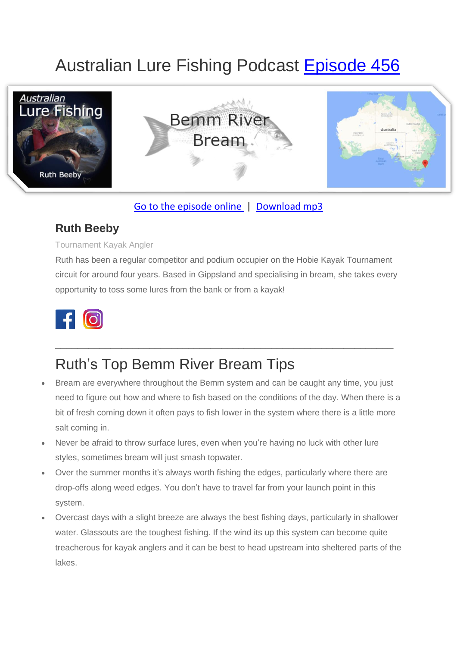# Australian Lure Fishing Podcast [Episode 456](https://doclures.com/bemm-bream-ruth-beeby/)



### [Go to the episode online](https://doclures.com/bemm-bream-ruth-beeby/) | [Download mp3](https://traffic.libsyn.com/secure/doclures/456-bemm-river-bream-ruth-beeby.mp3)

### **Ruth Beeby**

#### Tournament Kayak Angler

Ruth has been a regular competitor and podium occupier on the Hobie Kayak Tournament circuit for around four years. Based in Gippsland and specialising in bream, she takes every opportunity to toss some lures from the bank or from a kayak!



## Ruth's Top Bemm River Bream Tips

• Bream are everywhere throughout the Bemm system and can be caught any time, you just need to figure out how and where to fish based on the conditions of the day. When there is a bit of fresh coming down it often pays to fish lower in the system where there is a little more salt coming in.

\_\_\_\_\_\_\_\_\_\_\_\_\_\_\_\_\_\_\_\_\_\_\_\_\_\_\_\_\_\_\_\_\_\_\_\_\_\_\_\_\_\_\_\_\_\_\_\_\_\_\_\_\_\_\_\_\_\_\_\_\_

- Never be afraid to throw surface lures, even when you're having no luck with other lure styles, sometimes bream will just smash topwater.
- Over the summer months it's always worth fishing the edges, particularly where there are drop-offs along weed edges. You don't have to travel far from your launch point in this system.
- Overcast days with a slight breeze are always the best fishing days, particularly in shallower water. Glassouts are the toughest fishing. If the wind its up this system can become quite treacherous for kayak anglers and it can be best to head upstream into sheltered parts of the lakes.